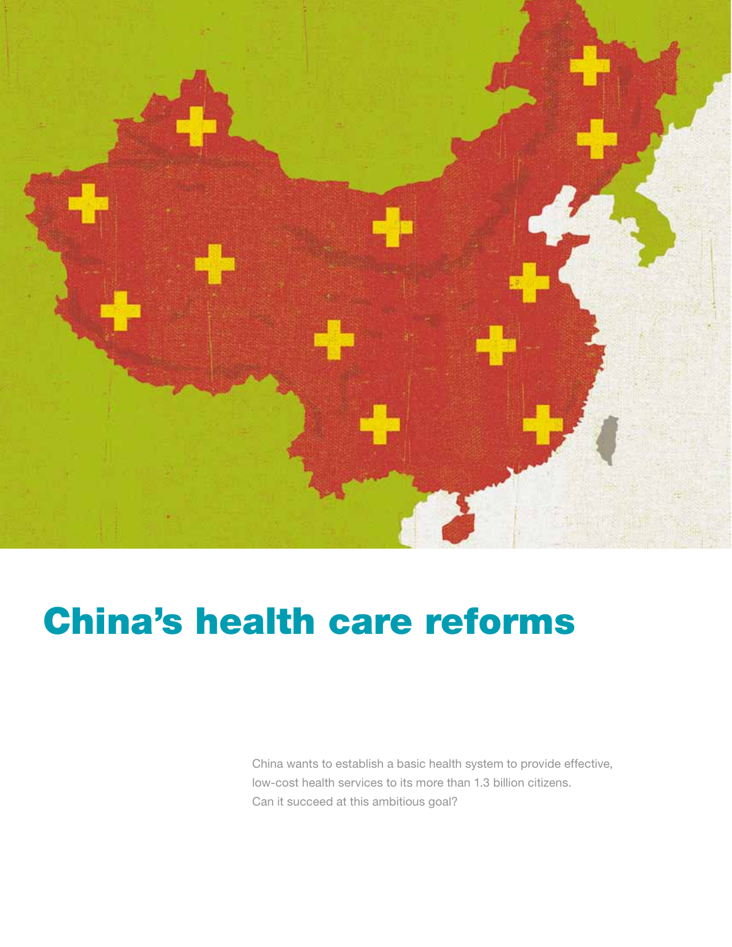

# China's health care reforms

China wants to establish a basic health system to provide effective, low-cost health services to its more than 1.3 billion citizens. Can it succeed at this ambitious goal?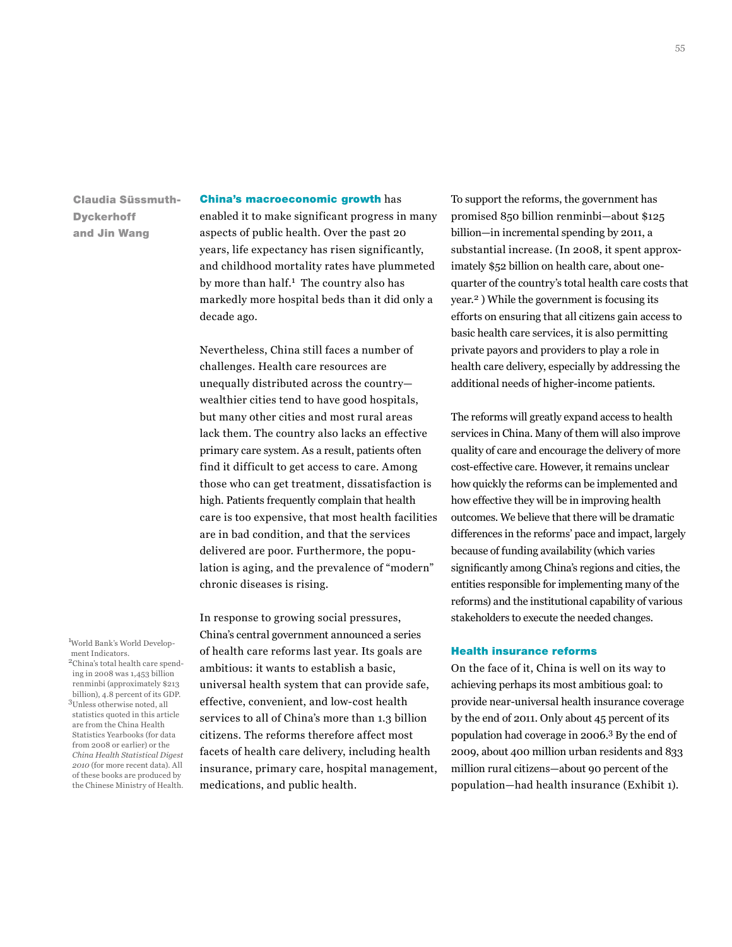Claudia Süssmuth-**Dyckerhoff** and Jin Wang

#### China's macroeconomic growth has

enabled it to make significant progress in many aspects of public health. Over the past 20 years, life expectancy has risen significantly, and childhood mortality rates have plummeted by more than half.<sup>1</sup> The country also has markedly more hospital beds than it did only a decade ago.

Nevertheless, China still faces a number of challenges. Health care resources are unequally distributed across the country wealthier cities tend to have good hospitals, but many other cities and most rural areas lack them. The country also lacks an effective primary care system. As a result, patients often find it difficult to get access to care. Among those who can get treatment, dissatisfaction is high. Patients frequently complain that health care is too expensive, that most health facilities are in bad condition, and that the services delivered are poor. Furthermore, the population is aging, and the prevalence of "modern" chronic diseases is rising.

In response to growing social pressures, China's central government announced a series of health care reforms last year. Its goals are ambitious: it wants to establish a basic, universal health system that can provide safe, effective, convenient, and low-cost health services to all of China's more than 1.3 billion citizens. The reforms therefore affect most facets of health care delivery, including health insurance, primary care, hospital management, medications, and public health.

To support the reforms, the government has promised 850 billion renminbi—about \$125 billion—in incremental spending by 2011, a substantial increase. (In 2008, it spent approximately \$52 billion on health care, about onequarter of the country's total health care costs that year.2 ) While the government is focusing its efforts on ensuring that all citizens gain access to basic health care services, it is also permitting private payors and providers to play a role in health care delivery, especially by addressing the additional needs of higher-income patients.

The reforms will greatly expand access to health services in China. Many of them will also improve quality of care and encourage the delivery of more cost-effective care. However, it remains unclear how quickly the reforms can be implemented and how effective they will be in improving health outcomes. We believe that there will be dramatic differences in the reforms' pace and impact, largely because of funding availability (which varies significantly among China's regions and cities, the entities responsible for implementing many of the reforms) and the institutional capability of various stakeholders to execute the needed changes.

## Health insurance reforms

On the face of it, China is well on its way to achieving perhaps its most ambitious goal: to provide near-universal health insurance coverage by the end of 2011. Only about 45 percent of its population had coverage in 2006.3 By the end of 2009, about 400 million urban residents and 833 million rural citizens—about 90 percent of the population—had health insurance (Exhibit 1).

ment Indicators. 2China's total health care spending in 2008 was 1,453 billion renminbi (approximately \$213 billion), 4.8 percent of its GDP. 3Unless otherwise noted, all statistics quoted in this article are from the China Health Statistics Yearbooks (for data from 2008 or earlier) or the *China Health Statistical Digest* 

*2010* (for more recent data). All of these books are produced by the Chinese Ministry of Health.

1 World Bank's World Develop-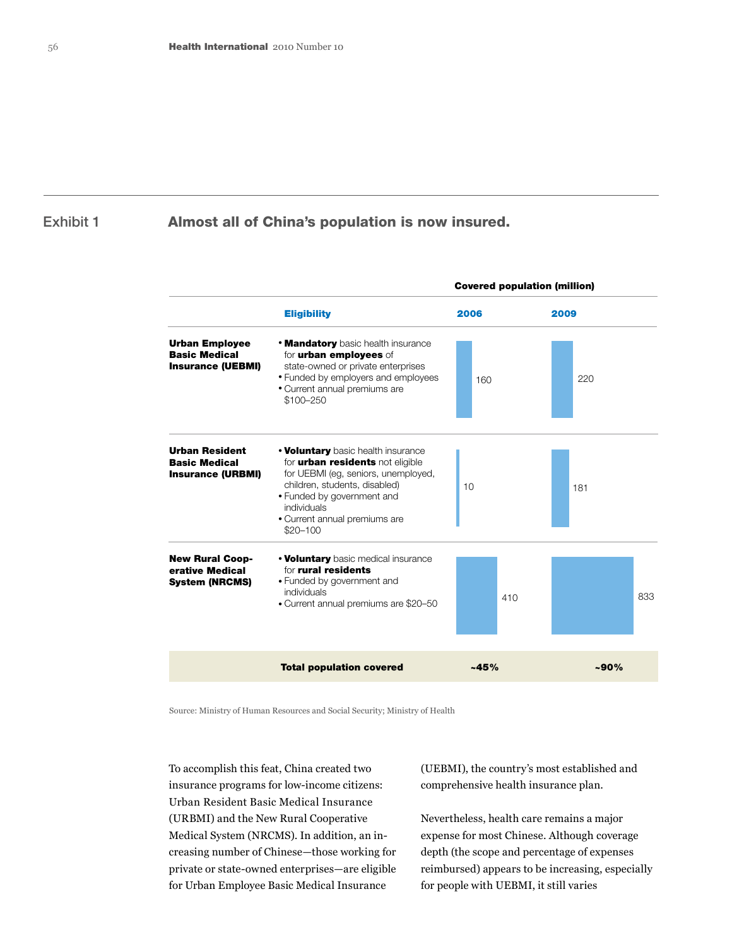# Exhibit 1

# Almost all of China's population is now insured.

|                                                                           |                                                                                                                                                                                                                                                           | <b>Covered population (million)</b> |          |  |  |
|---------------------------------------------------------------------------|-----------------------------------------------------------------------------------------------------------------------------------------------------------------------------------------------------------------------------------------------------------|-------------------------------------|----------|--|--|
|                                                                           | <b>Eligibility</b><br><b>• Mandatory</b> basic health insurance<br>for <b>urban employees</b> of<br>state-owned or private enterprises<br>• Funded by employers and employees<br>· Current annual premiums are<br>\$100-250                               | 2006                                | 2009     |  |  |
| <b>Urban Employee</b><br><b>Basic Medical</b><br><b>Insurance (UEBMI)</b> |                                                                                                                                                                                                                                                           | 160                                 | 220      |  |  |
| <b>Urban Resident</b><br><b>Basic Medical</b><br><b>Insurance (URBMI)</b> | <b>• Voluntary</b> basic health insurance<br>for <b>urban residents</b> not eligible<br>for UEBMI (eg, seniors, unemployed,<br>children, students, disabled)<br>• Funded by government and<br>individuals<br>• Current annual premiums are<br>$$20 - 100$ | 10                                  | 181      |  |  |
| <b>New Rural Coop-</b><br>erative Medical<br><b>System (NRCMS)</b>        | <b>• Voluntary</b> basic medical insurance<br>for rural residents<br>• Funded by government and<br>individuals<br>• Current annual premiums are \$20-50                                                                                                   | 410                                 | 833      |  |  |
|                                                                           | <b>Total population covered</b>                                                                                                                                                                                                                           | $-45%$                              | $~100\%$ |  |  |

Source: Ministry of Human Resources and Social Security; Ministry of Health

To accomplish this feat, China created two insurance programs for low-income citizens: Urban Resident Basic Medical Insurance (URBMI) and the New Rural Cooperative Medical System (NRCMS). In addition, an increasing number of Chinese—those working for private or state-owned enterprises—are eligible for Urban Employee Basic Medical Insurance

(UEBMI), the country's most established and comprehensive health insurance plan.

Nevertheless, health care remains a major expense for most Chinese. Although coverage depth (the scope and percentage of expenses reimbursed) appears to be increasing, especially for people with UEBMI, it still varies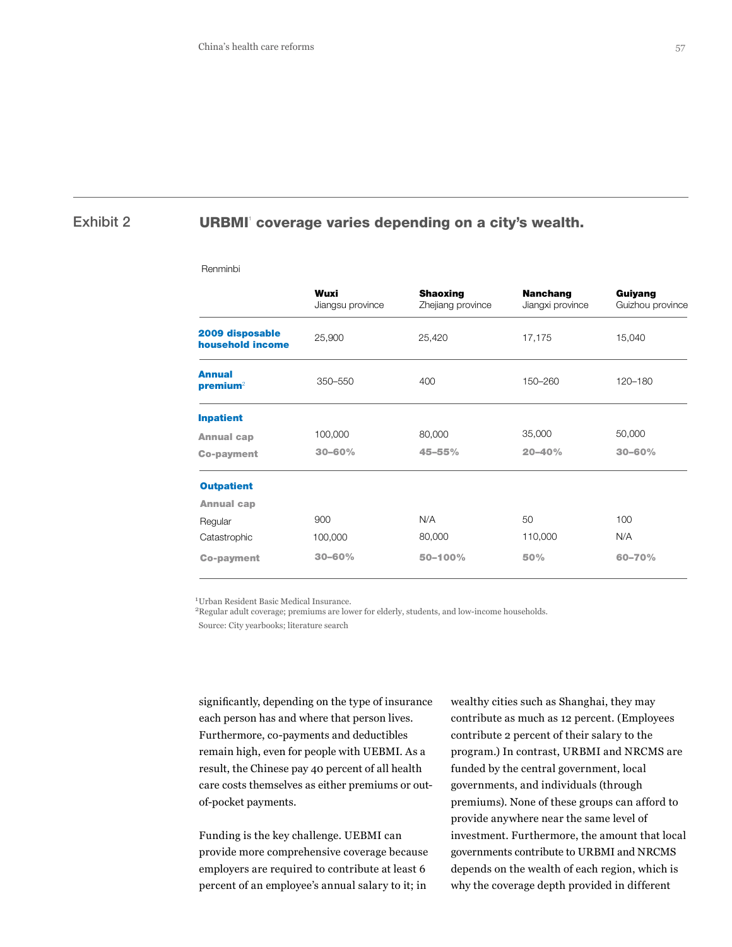# Exhibit 2 **URBMI** coverage varies depending on a city's wealth.

#### Renminbi

|                                       | Wuxi<br>Jiangsu province | <b>Shaoxing</b><br>Zhejiang province | <b>Nanchang</b><br>Jiangxi province | Guiyang<br>Guizhou province |  |
|---------------------------------------|--------------------------|--------------------------------------|-------------------------------------|-----------------------------|--|
| 2009 disposable<br>household income   | 25,900                   |                                      | 17,175                              | 15,040                      |  |
| <b>Annual</b><br>premium <sup>2</sup> | $350 - 550$              | 400                                  | 150-260                             | 120-180                     |  |
| <b>Inpatient</b>                      |                          |                                      |                                     |                             |  |
| <b>Annual cap</b>                     | 100,000                  | 80,000                               | 35,000                              | 50,000                      |  |
| <b>Co-payment</b>                     | $30 - 60%$               | 45-55%                               | $20 - 40%$                          | $30 - 60%$                  |  |
| <b>Outpatient</b>                     |                          |                                      |                                     |                             |  |
| <b>Annual cap</b>                     |                          |                                      |                                     |                             |  |
| Regular                               | 900                      | N/A                                  | 50                                  | 100                         |  |
| Catastrophic                          | 100,000                  | 80,000                               | 110,000                             | N/A                         |  |
| <b>Co-payment</b>                     | $30 - 60%$               | 50-100%                              | 50%<br>60-70%                       |                             |  |

 $^1$  Urban Resident Basic Medical Insurance. 2Regular adult coverage; premiums are lower for elderly, students, and low-income households.

Source: City yearbooks; literature search

significantly, depending on the type of insurance each person has and where that person lives. Furthermore, co-payments and deductibles remain high, even for people with UEBMI. As a result, the Chinese pay 40 percent of all health care costs themselves as either premiums or outof-pocket payments.

Funding is the key challenge. UEBMI can provide more comprehensive coverage because employers are required to contribute at least 6 percent of an employee's annual salary to it; in

wealthy cities such as Shanghai, they may contribute as much as 12 percent. (Employees contribute 2 percent of their salary to the program.) In contrast, URBMI and NRCMS are funded by the central government, local governments, and individuals (through premiums). None of these groups can afford to provide anywhere near the same level of investment. Furthermore, the amount that local governments contribute to URBMI and NRCMS depends on the wealth of each region, which is why the coverage depth provided in different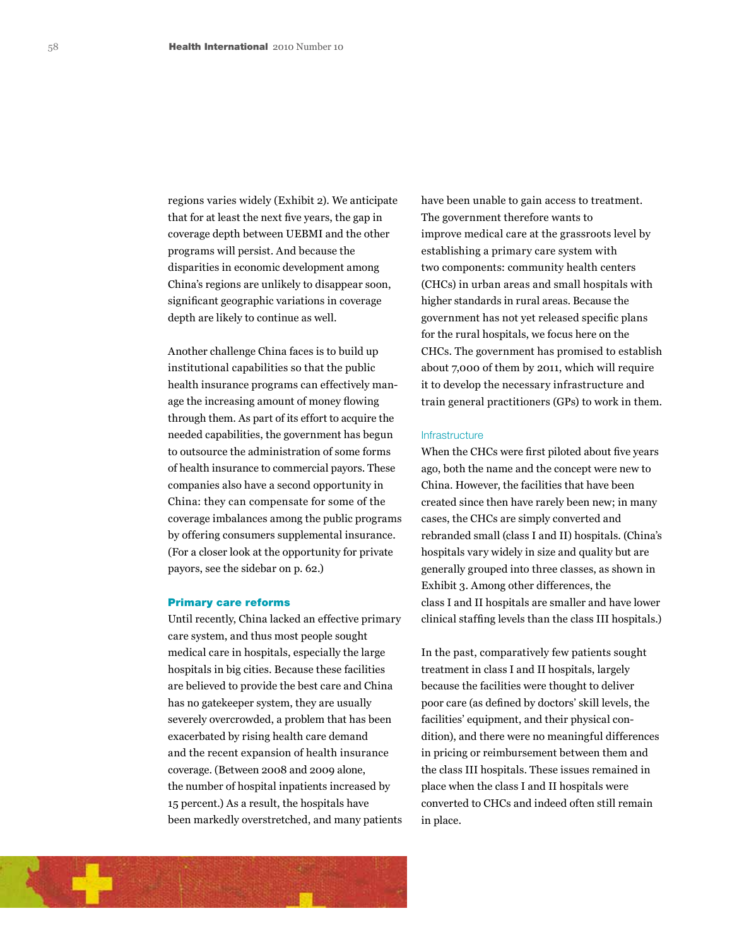regions varies widely (Exhibit 2). We anticipate that for at least the next five years, the gap in coverage depth between UEBMI and the other programs will persist. And because the disparities in economic development among China's regions are unlikely to disappear soon, significant geographic variations in coverage depth are likely to continue as well.

Another challenge China faces is to build up institutional capabilities so that the public health insurance programs can effectively manage the increasing amount of money flowing through them. As part of its effort to acquire the needed capabilities, the government has begun to outsource the administration of some forms of health insurance to commercial payors. These companies also have a second opportunity in China: they can compensate for some of the coverage imbalances among the public programs by offering consumers supplemental insurance. (For a closer look at the opportunity for private payors, see the sidebar on p. 62.)

### Primary care reforms

Until recently, China lacked an effective primary care system, and thus most people sought medical care in hospitals, especially the large hospitals in big cities. Because these facilities are believed to provide the best care and China has no gatekeeper system, they are usually severely overcrowded, a problem that has been exacerbated by rising health care demand and the recent expansion of health insurance coverage. (Between 2008 and 2009 alone, the number of hospital inpatients increased by 15 percent.) As a result, the hospitals have been markedly overstretched, and many patients have been unable to gain access to treatment. The government therefore wants to improve medical care at the grassroots level by establishing a primary care system with two components: community health centers (CHCs) in urban areas and small hospitals with higher standards in rural areas. Because the government has not yet released specific plans for the rural hospitals, we focus here on the CHCs. The government has promised to establish about 7,000 of them by 2011, which will require it to develop the necessary infrastructure and train general practitioners (GPs) to work in them.

#### **Infrastructure**

When the CHCs were first piloted about five years ago, both the name and the concept were new to China. However, the facilities that have been created since then have rarely been new; in many cases, the CHCs are simply converted and rebranded small (class I and II) hospitals. (China's hospitals vary widely in size and quality but are generally grouped into three classes, as shown in Exhibit 3. Among other differences, the class I and II hospitals are smaller and have lower clinical staffing levels than the class III hospitals.)

In the past, comparatively few patients sought treatment in class I and II hospitals, largely because the facilities were thought to deliver poor care (as defined by doctors' skill levels, the facilities' equipment, and their physical condition), and there were no meaningful differences in pricing or reimbursement between them and the class III hospitals. These issues remained in place when the class I and II hospitals were converted to CHCs and indeed often still remain in place.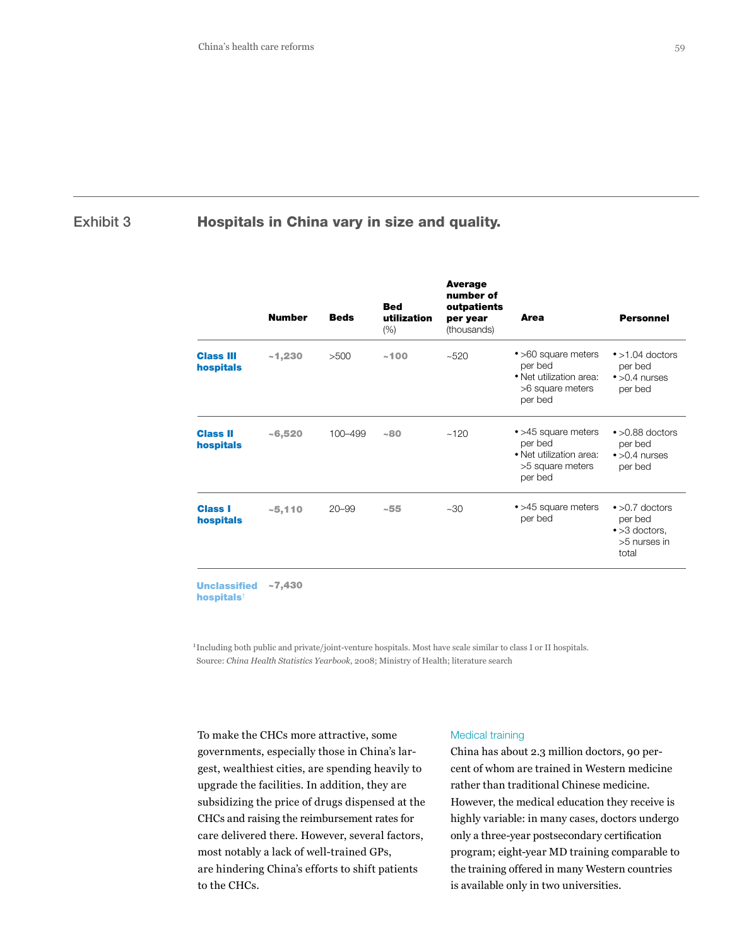# Exhibit 3 **Hospitals in China vary in size and quality.**

| <b>Number</b> | <b>Beds</b> | <b>Bed</b><br>utilization<br>(%) | <b>Average</b><br>number of<br>outpatients<br>per year<br>(thousands) | <b>Area</b>                                                                              | <b>Personnel</b>                                                                    |
|---------------|-------------|----------------------------------|-----------------------------------------------------------------------|------------------------------------------------------------------------------------------|-------------------------------------------------------------------------------------|
| ~1,230        | >500        | ~100                             | ~100                                                                  | • >60 square meters<br>per bed<br>• Net utilization area:<br>>6 square meters<br>per bed | $\bullet$ >1.04 doctors<br>per bed<br>$\bullet$ >0.4 nurses<br>per bed              |
| $-6,520$      | 100-499     | ~180                             | ~120                                                                  | • >45 square meters<br>per bed<br>• Net utilization area:<br>>5 square meters<br>per bed | $\bullet$ >0.88 doctors<br>per bed<br>$\bullet$ >0.4 nurses<br>per bed              |
| $-5,110$      | $20 - 99$   | ~155                             | $~10^{-30}$                                                           | • >45 square meters<br>per bed                                                           | $\bullet$ >0.7 doctors<br>per bed<br>$\bullet$ >3 doctors,<br>>5 nurses in<br>total |
|               |             |                                  |                                                                       |                                                                                          |                                                                                     |

Unclassified ~7,430 hospitals<sup>1</sup>

<sup>1</sup> Including both public and private/joint-venture hospitals. Most have scale similar to class I or II hospitals. Source: *China Health Statistics Yearbook*, 2008; Ministry of Health; literature search

To make the CHCs more attractive, some governments, especially those in China's largest, wealthiest cities, are spending heavily to upgrade the facilities. In addition, they are subsidizing the price of drugs dispensed at the CHCs and raising the reimbursement rates for care delivered there. However, several factors, most notably a lack of well-trained GPs, are hindering China's efforts to shift patients to the CHCs.

#### Medical training

China has about 2.3 million doctors, 90 percent of whom are trained in Western medicine rather than traditional Chinese medicine. However, the medical education they receive is highly variable: in many cases, doctors undergo only a three-year postsecondary certification program; eight-year MD training comparable to the training offered in many Western countries is available only in two universities.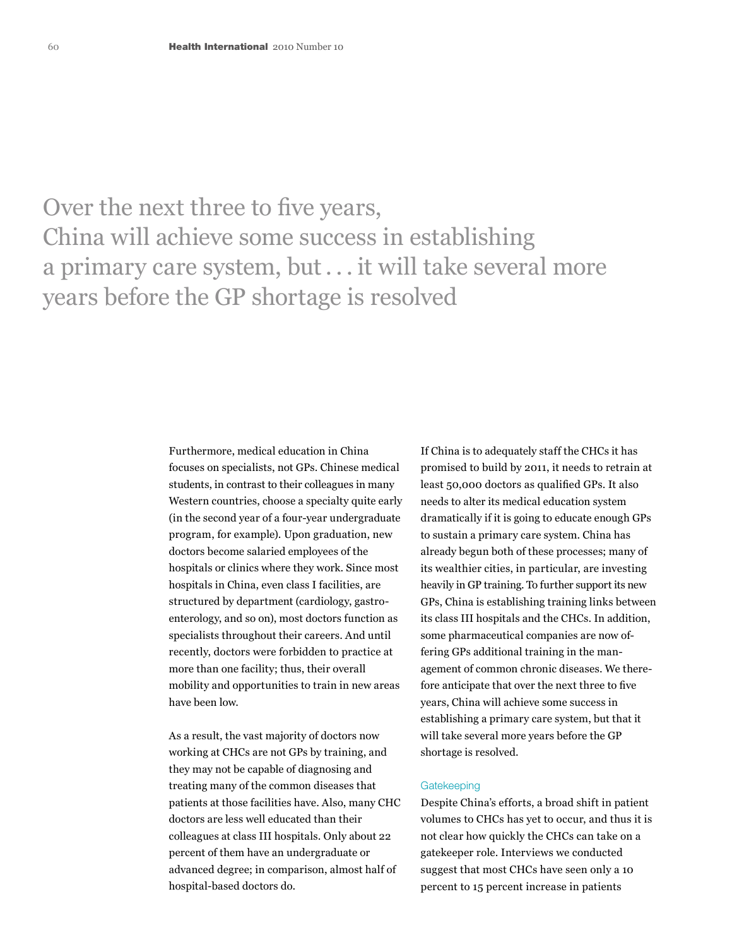Over the next three to five years, China will achieve some success in establishing a primary care system, but . . . it will take several more years before the GP shortage is resolved

> Furthermore, medical education in China focuses on specialists, not GPs. Chinese medical students, in contrast to their colleagues in many Western countries, choose a specialty quite early (in the second year of a four-year undergraduate program, for example). Upon graduation, new doctors become salaried employees of the hospitals or clinics where they work. Since most hospitals in China, even class I facilities, are structured by department (cardiology, gastroenterology, and so on), most doctors function as specialists throughout their careers. And until recently, doctors were forbidden to practice at more than one facility; thus, their overall mobility and opportunities to train in new areas have been low.

> As a result, the vast majority of doctors now working at CHCs are not GPs by training, and they may not be capable of diagnosing and treating many of the common diseases that patients at those facilities have. Also, many CHC doctors are less well educated than their colleagues at class III hospitals. Only about 22 percent of them have an undergraduate or advanced degree; in comparison, almost half of hospital-based doctors do.

If China is to adequately staff the CHCs it has promised to build by 2011, it needs to retrain at least 50,000 doctors as qualified GPs. It also needs to alter its medical education system dramatically if it is going to educate enough GPs to sustain a primary care system. China has already begun both of these processes; many of its wealthier cities, in particular, are investing heavily in GP training. To further support its new GPs, China is establishing training links between its class III hospitals and the CHCs. In addition, some pharmaceutical companies are now offering GPs additional training in the management of common chronic diseases. We therefore anticipate that over the next three to five years, China will achieve some success in establishing a primary care system, but that it will take several more years before the GP shortage is resolved.

## **Gatekeeping**

Despite China's efforts, a broad shift in patient volumes to CHCs has yet to occur, and thus it is not clear how quickly the CHCs can take on a gatekeeper role. Interviews we conducted suggest that most CHCs have seen only a 10 percent to 15 percent increase in patients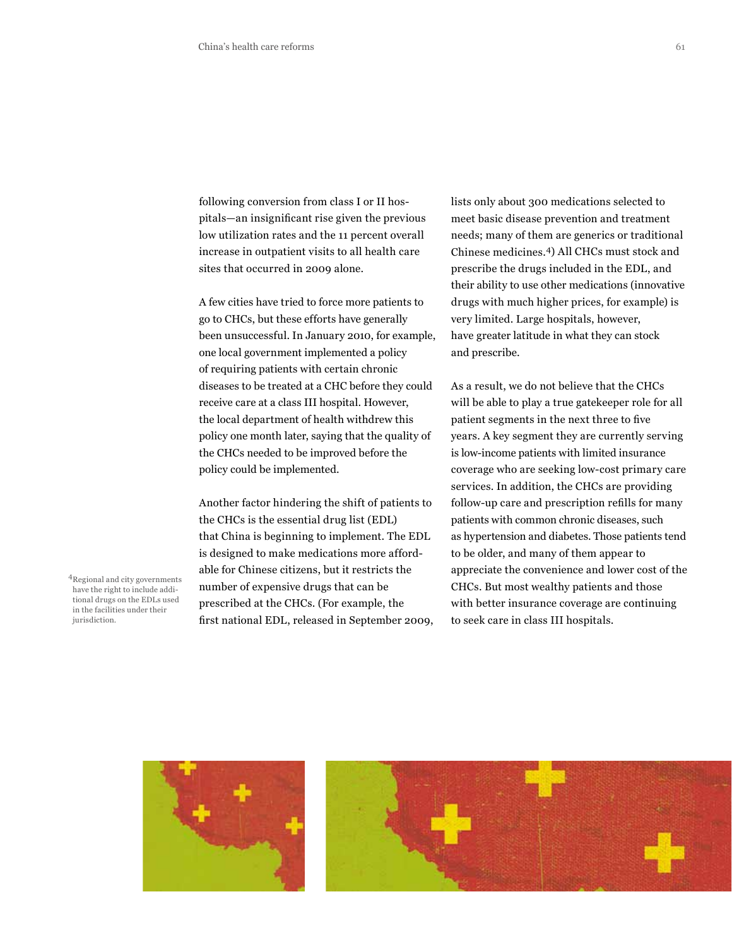following conversion from class I or II hospitals—an insignificant rise given the previous low utilization rates and the 11 percent overall increase in outpatient visits to all health care sites that occurred in 2009 alone.

A few cities have tried to force more patients to go to CHCs, but these efforts have generally been unsuccessful. In January 2010, for example, one local government implemented a policy of requiring patients with certain chronic diseases to be treated at a CHC before they could receive care at a class III hospital. However, the local department of health withdrew this policy one month later, saying that the quality of the CHCs needed to be improved before the policy could be implemented.

Another factor hindering the shift of patients to the CHCs is the essential drug list (EDL) that China is beginning to implement. The EDL is designed to make medications more affordable for Chinese citizens, but it restricts the number of expensive drugs that can be prescribed at the CHCs. (For example, the first national EDL, released in September 2009, lists only about 300 medications selected to meet basic disease prevention and treatment needs; many of them are generics or traditional Chinese medicines.4) All CHCs must stock and prescribe the drugs included in the EDL, and their ability to use other medications (innovative drugs with much higher prices, for example) is very limited. Large hospitals, however, have greater latitude in what they can stock and prescribe.

As a result, we do not believe that the CHCs will be able to play a true gatekeeper role for all patient segments in the next three to five years. A key segment they are currently serving is low-income patients with limited insurance coverage who are seeking low-cost primary care services. In addition, the CHCs are providing follow-up care and prescription refills for many patients with common chronic diseases, such as hypertension and diabetes. Those patients tend to be older, and many of them appear to appreciate the convenience and lower cost of the CHCs. But most wealthy patients and those with better insurance coverage are continuing to seek care in class III hospitals.

4Regional and city governments have the right to include additional drugs on the EDLs used in the facilities under their jurisdiction.

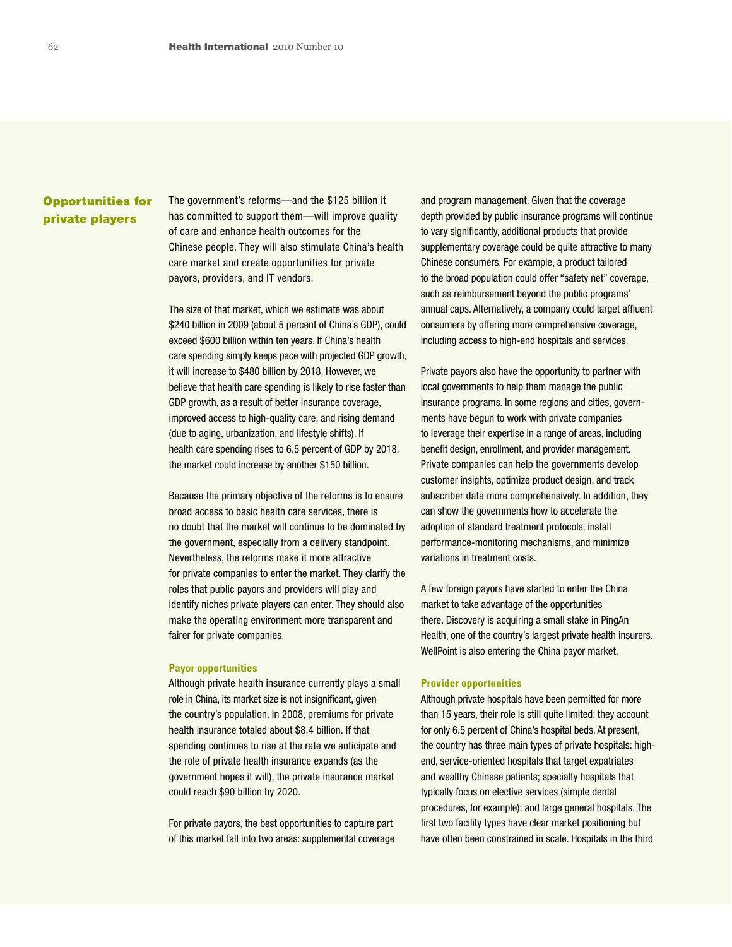# Opportunities for private players

The government's reforms—and the \$125 billion it has committed to support them—will improve quality of care and enhance health outcomes for the Chinese people. They will also stimulate China's health care market and create opportunities for private payors, providers, and IT vendors.

The size of that market, which we estimate was about \$240 billion in 2009 (about 5 percent of China's GDP), could exceed \$600 billion within ten years. If China's health care spending simply keeps pace with projected GDP growth, it will increase to \$480 billion by 2018. However, we believe that health care spending is likely to rise faster than GDP growth, as a result of better insurance coverage, improved access to high-quality care, and rising demand (due to aging, urbanization, and lifestyle shifts). If health care spending rises to 6.5 percent of GDP by 2018, the market could increase by another \$150 billion.

Because the primary objective of the reforms is to ensure broad access to basic health care services, there is no doubt that the market will continue to be dominated by the government, especially from a delivery standpoint. Nevertheless, the reforms make it more attractive for private companies to enter the market. They clarify the roles that public payors and providers will play and identify niches private players can enter. They should also make the operating environment more transparent and fairer for private companies.

#### **Payor opportunities**

Although private health insurance currently plays a small role in China, its market size is not insignificant, given the country's population. In 2008, premiums for private health insurance totaled about \$8.4 billion. If that spending continues to rise at the rate we anticipate and the role of private health insurance expands (as the government hopes it will), the private insurance market could reach \$90 billion by 2020.

For private payors, the best opportunities to capture part of this market fall into two areas: supplemental coverage and program management. Given that the coverage depth provided by public insurance programs will continue to vary significantly, additional products that provide supplementary coverage could be quite attractive to many Chinese consumers. For example, a product tailored to the broad population could offer "safety net" coverage, such as reimbursement beyond the public programs' annual caps. Alternatively, a company could target affluent consumers by offering more comprehensive coverage, including access to high-end hospitals and services.

Private payors also have the opportunity to partner with local governments to help them manage the public insurance programs. In some regions and cities, governments have begun to work with private companies to leverage their expertise in a range of areas, including benefit design, enrollment, and provider management. Private companies can help the governments develop customer insights, optimize product design, and track subscriber data more comprehensively. In addition, they can show the governments how to accelerate the adoption of standard treatment protocols, install performance-monitoring mechanisms, and minimize variations in treatment costs.

A few foreign payors have started to enter the China market to take advantage of the opportunities there. Discovery is acquiring a small stake in PingAn Health, one of the country's largest private health insurers. WellPoint is also entering the China payor market.

#### **Provider opportunities**

Although private hospitals have been permitted for more than 15 years, their role is still quite limited: they account for only 6.5 percent of China's hospital beds. At present, the country has three main types of private hospitals: highend, service-oriented hospitals that target expatriates and wealthy Chinese patients; specialty hospitals that typically focus on elective services (simple dental procedures, for example); and large general hospitals. The first two facility types have clear market positioning but have often been constrained in scale. Hospitals in the third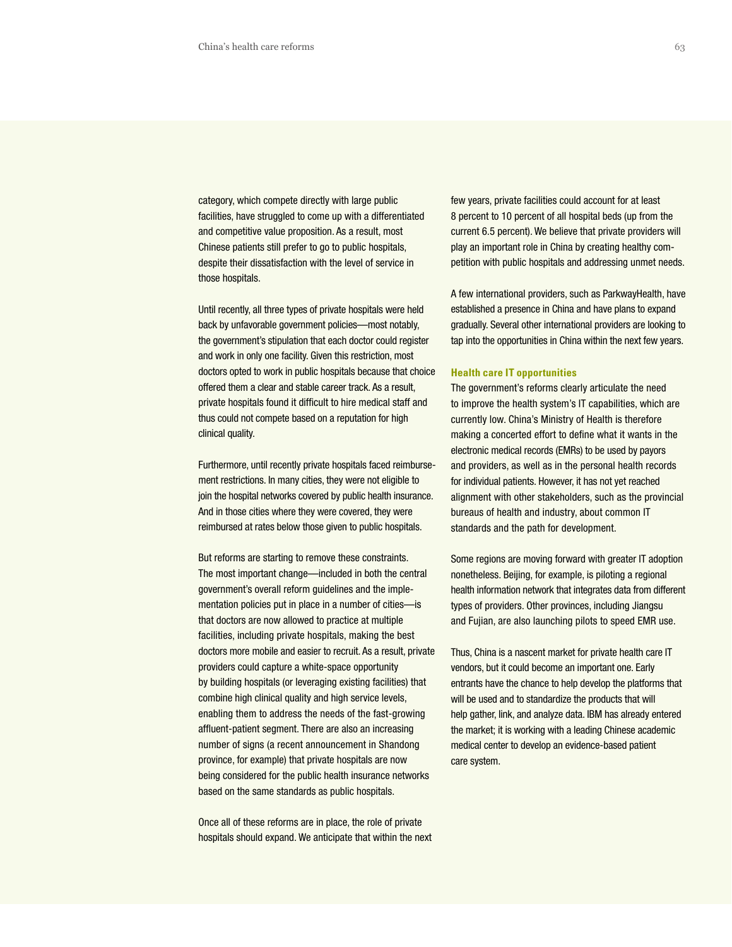category, which compete directly with large public facilities, have struggled to come up with a differentiated and competitive value proposition. As a result, most Chinese patients still prefer to go to public hospitals, despite their dissatisfaction with the level of service in those hospitals.

Until recently, all three types of private hospitals were held back by unfavorable government policies—most notably, the government's stipulation that each doctor could register and work in only one facility. Given this restriction, most doctors opted to work in public hospitals because that choice offered them a clear and stable career track. As a result, private hospitals found it difficult to hire medical staff and thus could not compete based on a reputation for high clinical quality.

Furthermore, until recently private hospitals faced reimbursement restrictions. In many cities, they were not eligible to join the hospital networks covered by public health insurance. And in those cities where they were covered, they were reimbursed at rates below those given to public hospitals.

But reforms are starting to remove these constraints. The most important change—included in both the central government's overall reform guidelines and the implementation policies put in place in a number of cities—is that doctors are now allowed to practice at multiple facilities, including private hospitals, making the best doctors more mobile and easier to recruit. As a result, private providers could capture a white-space opportunity by building hospitals (or leveraging existing facilities) that combine high clinical quality and high service levels, enabling them to address the needs of the fast-growing affluent-patient segment. There are also an increasing number of signs (a recent announcement in Shandong province, for example) that private hospitals are now being considered for the public health insurance networks based on the same standards as public hospitals.

Once all of these reforms are in place, the role of private hospitals should expand. We anticipate that within the next few years, private facilities could account for at least 8 percent to 10 percent of all hospital beds (up from the current 6.5 percent). We believe that private providers will play an important role in China by creating healthy competition with public hospitals and addressing unmet needs.

A few international providers, such as ParkwayHealth, have established a presence in China and have plans to expand gradually. Several other international providers are looking to tap into the opportunities in China within the next few years.

#### **Health care IT opportunities**

The government's reforms clearly articulate the need to improve the health system's IT capabilities, which are currently low. China's Ministry of Health is therefore making a concerted effort to define what it wants in the electronic medical records (EMRs) to be used by payors and providers, as well as in the personal health records for individual patients. However, it has not yet reached alignment with other stakeholders, such as the provincial bureaus of health and industry, about common IT standards and the path for development.

Some regions are moving forward with greater IT adoption nonetheless. Beijing, for example, is piloting a regional health information network that integrates data from different types of providers. Other provinces, including Jiangsu and Fujian, are also launching pilots to speed EMR use.

Thus, China is a nascent market for private health care IT vendors, but it could become an important one. Early entrants have the chance to help develop the platforms that will be used and to standardize the products that will help gather, link, and analyze data. IBM has already entered the market; it is working with a leading Chinese academic medical center to develop an evidence-based patient care system.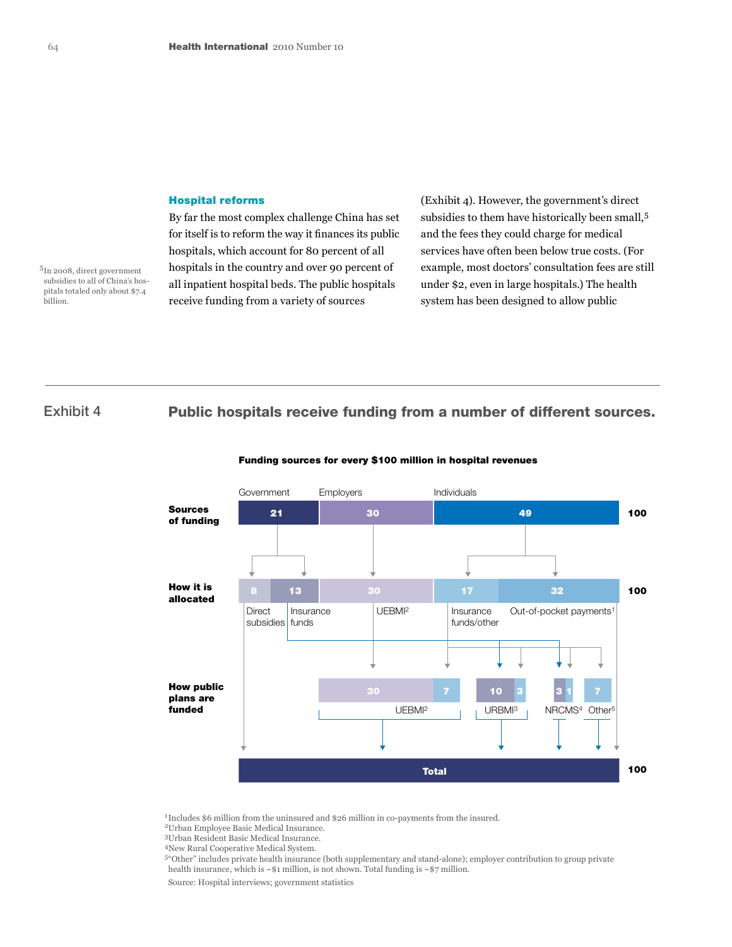#### Hospital reforms

By far the most complex challenge China has set for itself is to reform the way it finances its public hospitals, which account for 80 percent of all hospitals in the country and over 90 percent of all inpatient hospital beds. The public hospitals receive funding from a variety of sources

(Exhibit 4). However, the government's direct subsidies to them have historically been small,5 and the fees they could charge for medical services have often been below true costs. (For example, most doctors' consultation fees are still under \$2, even in large hospitals.) The health system has been designed to allow public

billion.

5In 2008, direct government subsidies to all of China's hospitals totaled only about \$7.4

Exhibit 4 Public hospitals receive funding from a number of different sources.



#### Funding sources for every \$100 million in hospital revenues

<sup>1</sup> Includes \$6 million from the uninsured and \$26 million in co-payments from the insured.

2Urban Employee Basic Medical Insurance.

3Urban Resident Basic Medical Insurance.

4New Rural Cooperative Medical System.

5"Other" includes private health insurance (both supplementary and stand-alone); employer contribution to group private health insurance, which is  $~81$  million, is not shown. Total funding is  $~87$  million.

Source: Hospital interviews; government statistics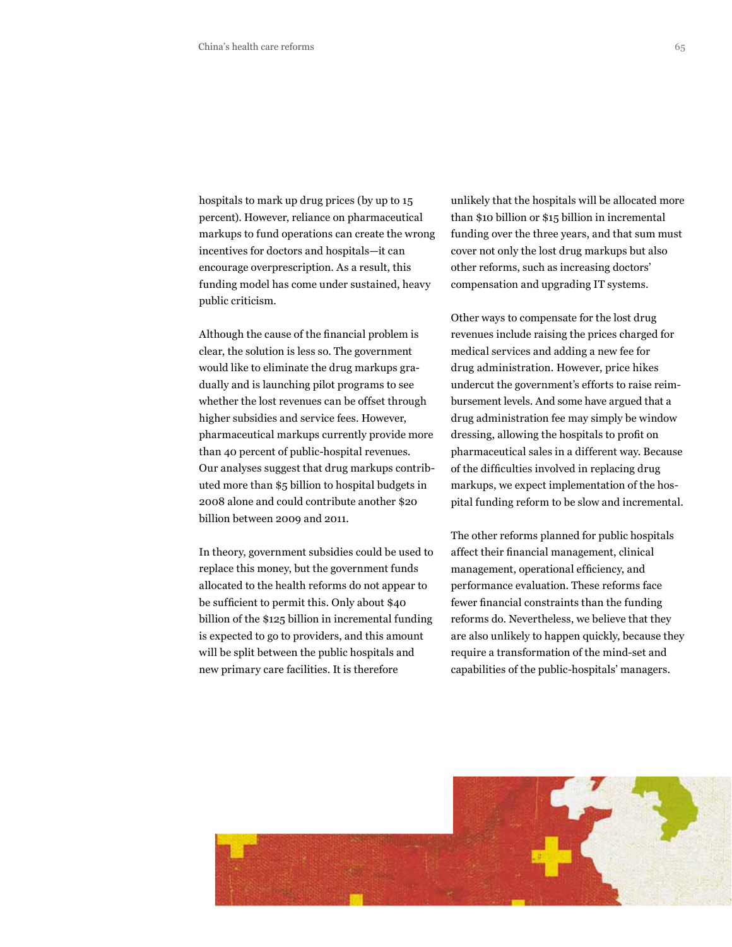hospitals to mark up drug prices (by up to 15 percent). However, reliance on pharmaceutical markups to fund operations can create the wrong incentives for doctors and hospitals—it can encourage overprescription. As a result, this funding model has come under sustained, heavy public criticism.

Although the cause of the financial problem is clear, the solution is less so. The government would like to eliminate the drug markups gradually and is launching pilot programs to see whether the lost revenues can be offset through higher subsidies and service fees. However, pharmaceutical markups currently provide more than 40 percent of public-hospital revenues. Our analyses suggest that drug markups contributed more than \$5 billion to hospital budgets in 2008 alone and could contribute another \$20 billion between 2009 and 2011.

In theory, government subsidies could be used to replace this money, but the government funds allocated to the health reforms do not appear to be sufficient to permit this. Only about \$40 billion of the \$125 billion in incremental funding is expected to go to providers, and this amount will be split between the public hospitals and new primary care facilities. It is therefore

unlikely that the hospitals will be allocated more than \$10 billion or \$15 billion in incremental funding over the three years, and that sum must cover not only the lost drug markups but also other reforms, such as increasing doctors' compensation and upgrading IT systems.

Other ways to compensate for the lost drug revenues include raising the prices charged for medical services and adding a new fee for drug administration. However, price hikes undercut the government's efforts to raise reimbursement levels. And some have argued that a drug administration fee may simply be window dressing, allowing the hospitals to profit on pharmaceutical sales in a different way. Because of the difficulties involved in replacing drug markups, we expect implementation of the hospital funding reform to be slow and incremental.

The other reforms planned for public hospitals affect their financial management, clinical management, operational efficiency, and performance evaluation. These reforms face fewer financial constraints than the funding reforms do. Nevertheless, we believe that they are also unlikely to happen quickly, because they require a transformation of the mind-set and capabilities of the public-hospitals' managers.

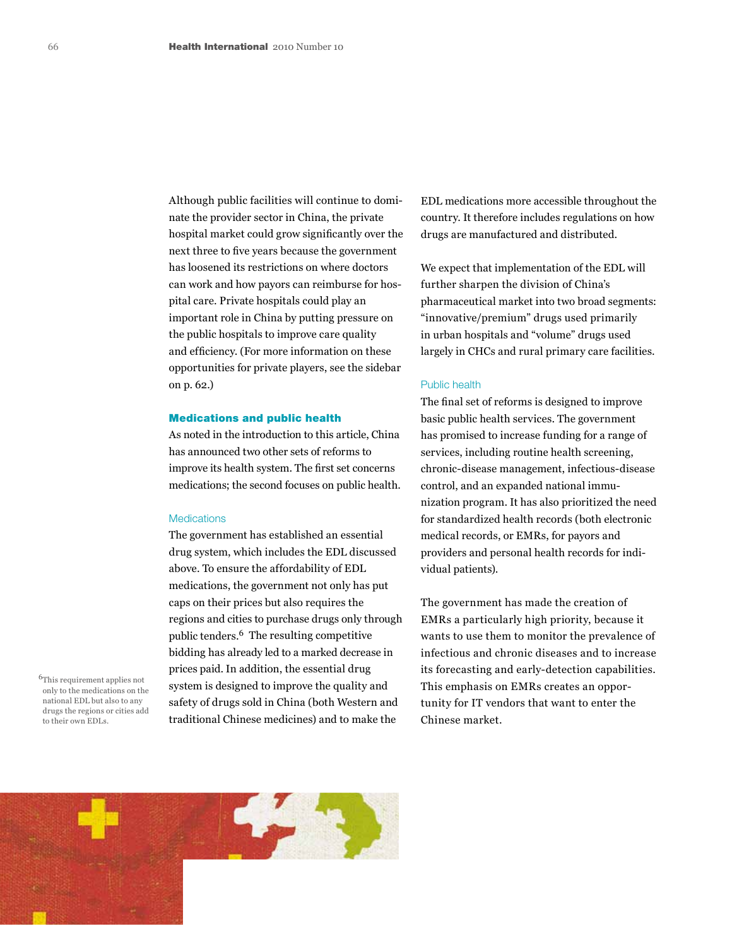Although public facilities will continue to dominate the provider sector in China, the private hospital market could grow significantly over the next three to five years because the government has loosened its restrictions on where doctors can work and how payors can reimburse for hospital care. Private hospitals could play an important role in China by putting pressure on the public hospitals to improve care quality and efficiency. (For more information on these opportunities for private players, see the sidebar on p. 62.)

#### Medications and public health

As noted in the introduction to this article, China has announced two other sets of reforms to improve its health system. The first set concerns medications; the second focuses on public health.

#### **Medications**

The government has established an essential drug system, which includes the EDL discussed above. To ensure the affordability of EDL medications, the government not only has put caps on their prices but also requires the regions and cities to purchase drugs only through public tenders.6 The resulting competitive bidding has already led to a marked decrease in prices paid. In addition, the essential drug system is designed to improve the quality and safety of drugs sold in China (both Western and traditional Chinese medicines) and to make the

6This requirement applies not only to the medications on the national EDL but also to any drugs the regions or cities add to their own EDLs.

EDL medications more accessible throughout the country. It therefore includes regulations on how drugs are manufactured and distributed.

We expect that implementation of the EDL will further sharpen the division of China's pharmaceutical market into two broad segments: "innovative/premium" drugs used primarily in urban hospitals and "volume" drugs used largely in CHCs and rural primary care facilities.

### Public health

The final set of reforms is designed to improve basic public health services. The government has promised to increase funding for a range of services, including routine health screening, chronic-disease management, infectious-disease control, and an expanded national immunization program. It has also prioritized the need for standardized health records (both electronic medical records, or EMRs, for payors and providers and personal health records for individual patients).

The government has made the creation of EMRs a particularly high priority, because it wants to use them to monitor the prevalence of infectious and chronic diseases and to increase its forecasting and early-detection capabilities. This emphasis on EMRs creates an opportunity for IT vendors that want to enter the Chinese market.